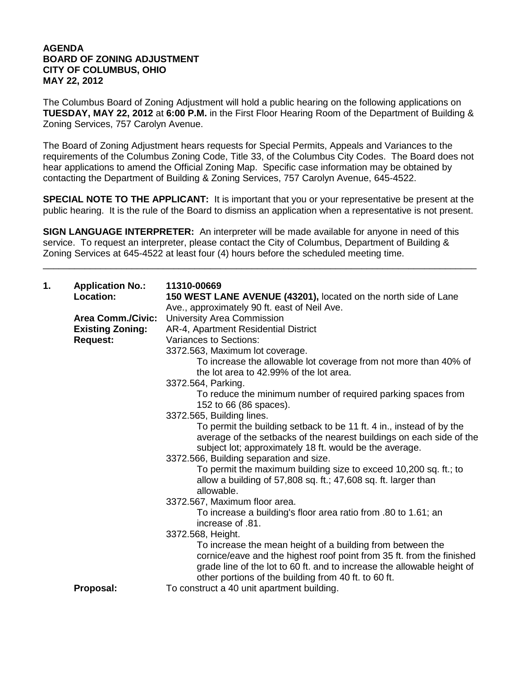## **AGENDA BOARD OF ZONING ADJUSTMENT CITY OF COLUMBUS, OHIO MAY 22, 2012**

The Columbus Board of Zoning Adjustment will hold a public hearing on the following applications on **TUESDAY, MAY 22, 2012** at **6:00 P.M.** in the First Floor Hearing Room of the Department of Building & Zoning Services, 757 Carolyn Avenue.

The Board of Zoning Adjustment hears requests for Special Permits, Appeals and Variances to the requirements of the Columbus Zoning Code, Title 33, of the Columbus City Codes. The Board does not hear applications to amend the Official Zoning Map. Specific case information may be obtained by contacting the Department of Building & Zoning Services, 757 Carolyn Avenue, 645-4522.

**SPECIAL NOTE TO THE APPLICANT:** It is important that you or your representative be present at the public hearing. It is the rule of the Board to dismiss an application when a representative is not present.

**SIGN LANGUAGE INTERPRETER:** An interpreter will be made available for anyone in need of this service. To request an interpreter, please contact the City of Columbus, Department of Building & Zoning Services at 645-4522 at least four (4) hours before the scheduled meeting time.

\_\_\_\_\_\_\_\_\_\_\_\_\_\_\_\_\_\_\_\_\_\_\_\_\_\_\_\_\_\_\_\_\_\_\_\_\_\_\_\_\_\_\_\_\_\_\_\_\_\_\_\_\_\_\_\_\_\_\_\_\_\_\_\_\_\_\_\_\_\_\_\_\_\_\_\_\_\_\_\_\_\_\_

| 1. | <b>Application No.:</b><br>Location: | 11310-00669<br>150 WEST LANE AVENUE (43201), located on the north side of Lane                                                                                                                                                                                         |
|----|--------------------------------------|------------------------------------------------------------------------------------------------------------------------------------------------------------------------------------------------------------------------------------------------------------------------|
|    |                                      | Ave., approximately 90 ft. east of Neil Ave.                                                                                                                                                                                                                           |
|    | <b>Area Comm./Civic:</b>             | University Area Commission                                                                                                                                                                                                                                             |
|    | <b>Existing Zoning:</b>              | AR-4, Apartment Residential District                                                                                                                                                                                                                                   |
|    | <b>Request:</b>                      | Variances to Sections:                                                                                                                                                                                                                                                 |
|    |                                      | 3372.563, Maximum lot coverage.                                                                                                                                                                                                                                        |
|    |                                      | To increase the allowable lot coverage from not more than 40% of                                                                                                                                                                                                       |
|    |                                      | the lot area to 42.99% of the lot area.                                                                                                                                                                                                                                |
|    |                                      | 3372.564, Parking.                                                                                                                                                                                                                                                     |
|    |                                      | To reduce the minimum number of required parking spaces from<br>152 to 66 (86 spaces).                                                                                                                                                                                 |
|    |                                      | 3372.565, Building lines.                                                                                                                                                                                                                                              |
|    |                                      | To permit the building setback to be 11 ft. 4 in., instead of by the<br>average of the setbacks of the nearest buildings on each side of the<br>subject lot; approximately 18 ft. would be the average.                                                                |
|    |                                      | 3372.566, Building separation and size.                                                                                                                                                                                                                                |
|    |                                      | To permit the maximum building size to exceed 10,200 sq. ft.; to<br>allow a building of 57,808 sq. ft.; 47,608 sq. ft. larger than<br>allowable.                                                                                                                       |
|    |                                      | 3372.567, Maximum floor area.                                                                                                                                                                                                                                          |
|    |                                      | To increase a building's floor area ratio from .80 to 1.61; an<br>increase of .81.                                                                                                                                                                                     |
|    |                                      | 3372.568, Height.                                                                                                                                                                                                                                                      |
|    |                                      | To increase the mean height of a building from between the<br>cornice/eave and the highest roof point from 35 ft. from the finished<br>grade line of the lot to 60 ft. and to increase the allowable height of<br>other portions of the building from 40 ft. to 60 ft. |
|    | Proposal:                            | To construct a 40 unit apartment building.                                                                                                                                                                                                                             |
|    |                                      |                                                                                                                                                                                                                                                                        |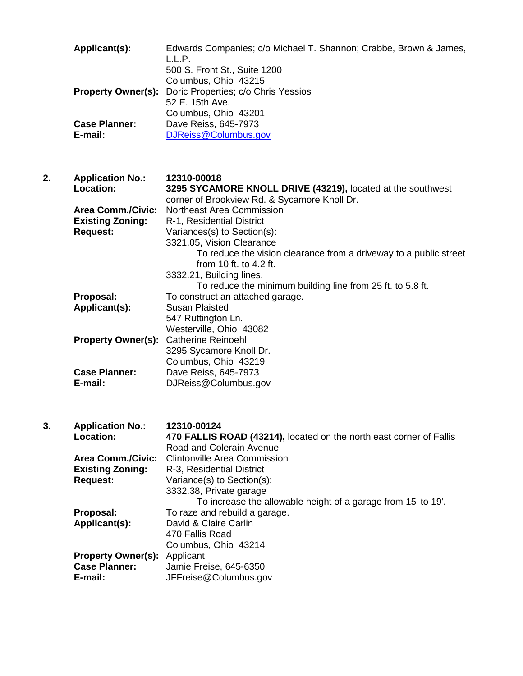**Applicant(s):** Edwards Companies; c/o Michael T. Shannon; Crabbe, Brown & James, L.L.P. 500 S. Front St., Suite 1200 Columbus, Ohio 43215 **Property Owner(s):** Doric Properties; c/o Chris Yessios 52 E. 15th Ave. Columbus, Ohio 43201 **Case Planner:** Dave Reiss, 645-7973<br>**E-mail:** D.IReiss@Columbus o **E-mail:** [DJReiss@Columbus.gov](mailto:DJReiss@Columbus.gov)

**2. Application No.: 12310-00018 Location: 3295 SYCAMORE KNOLL DRIVE (43219),** located at the southwest corner of Brookview Rd. & Sycamore Knoll Dr. **Area Comm./Civic:** Northeast Area Commission **Existing Zoning:** R-1, Residential District **Request:** Variances(s) to Section(s): 3321.05, Vision Clearance To reduce the vision clearance from a driveway to a public street from 10 ft. to 4.2 ft. 3332.21, Building lines. To reduce the minimum building line from 25 ft. to 5.8 ft. **Proposal:** To construct an attached garage. **Applicant(s):** Susan Plaisted 547 Ruttington Ln. Westerville, Ohio 43082 **Property Owner(s):** Catherine Reinoehl 3295 Sycamore Knoll Dr. Columbus, Ohio 43219 **Case Planner:** Dave Reiss, 645-7973<br>**E-mail:** D.J.Reiss@Columbus of **E-mail:** DJReiss@Columbus.gov

**3. Application No.: 12310-00124 Location: 470 FALLIS ROAD (43214),** located on the north east corner of Fallis Road and Colerain Avenue Area Comm./Civic: Clintonville Area Commission<br>**Existing Zoning:** R-3, Residential District **Existing Zoning:** R-3, Residential District<br>Request: Variance(s) to Section(s Variance(s) to Section(s): 3332.38, Private garage To increase the allowable height of a garage from 15' to 19'. **Proposal:** To raze and rebuild a garage. **Applicant(s):** David & Claire Carlin 470 Fallis Road Columbus, Ohio 43214 **Property Owner(s):** Applicant **Case Planner:** Jamie Fre **Case Planner:** Jamie Freise, 645-6350 **E-mail:** JFFreise@Columbus.gov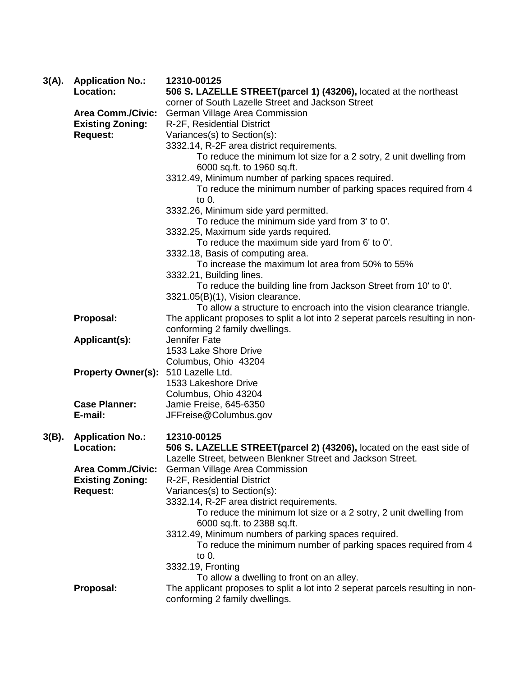| $3(A)$ . | <b>Application No.:</b><br>Location: | 12310-00125<br>506 S. LAZELLE STREET(parcel 1) (43206), located at the northeast |
|----------|--------------------------------------|----------------------------------------------------------------------------------|
|          |                                      | corner of South Lazelle Street and Jackson Street                                |
|          | <b>Area Comm./Civic:</b>             | German Village Area Commission                                                   |
|          | <b>Existing Zoning:</b>              | R-2F, Residential District                                                       |
|          | <b>Request:</b>                      | Variances(s) to Section(s):                                                      |
|          |                                      | 3332.14, R-2F area district requirements.                                        |
|          |                                      | To reduce the minimum lot size for a 2 sotry, 2 unit dwelling from               |
|          |                                      | 6000 sq.ft. to 1960 sq.ft.                                                       |
|          |                                      | 3312.49, Minimum number of parking spaces required.                              |
|          |                                      | To reduce the minimum number of parking spaces required from 4                   |
|          |                                      | to 0.                                                                            |
|          |                                      | 3332.26, Minimum side yard permitted.                                            |
|          |                                      | To reduce the minimum side yard from 3' to 0'.                                   |
|          |                                      | 3332.25, Maximum side yards required.                                            |
|          |                                      | To reduce the maximum side yard from 6' to 0'.                                   |
|          |                                      | 3332.18, Basis of computing area.                                                |
|          |                                      | To increase the maximum lot area from 50% to 55%                                 |
|          |                                      | 3332.21, Building lines.                                                         |
|          |                                      | To reduce the building line from Jackson Street from 10' to 0'.                  |
|          |                                      | 3321.05(B)(1), Vision clearance.                                                 |
|          |                                      | To allow a structure to encroach into the vision clearance triangle.             |
|          | Proposal:                            | The applicant proposes to split a lot into 2 seperat parcels resulting in non-   |
|          |                                      | conforming 2 family dwellings.                                                   |
|          | Applicant(s):                        | Jennifer Fate                                                                    |
|          |                                      | 1533 Lake Shore Drive                                                            |
|          | <b>Property Owner(s):</b>            | Columbus, Ohio 43204<br>510 Lazelle Ltd.                                         |
|          |                                      | 1533 Lakeshore Drive                                                             |
|          |                                      | Columbus, Ohio 43204                                                             |
|          | <b>Case Planner:</b>                 | Jamie Freise, 645-6350                                                           |
|          | E-mail:                              | JFFreise@Columbus.gov                                                            |
|          |                                      |                                                                                  |
| $3(B)$ . | <b>Application No.:</b>              | 12310-00125                                                                      |
|          | <b>Location:</b>                     | 506 S. LAZELLE STREET(parcel 2) (43206), located on the east side of             |
|          |                                      | Lazelle Street, between Blenkner Street and Jackson Street.                      |
|          | <b>Area Comm./Civic:</b>             | German Village Area Commission                                                   |
|          | <b>Existing Zoning:</b>              | R-2F, Residential District                                                       |
|          | <b>Request:</b>                      | Variances(s) to Section(s):                                                      |
|          |                                      | 3332.14, R-2F area district requirements.                                        |
|          |                                      | To reduce the minimum lot size or a 2 sotry, 2 unit dwelling from                |
|          |                                      | 6000 sq.ft. to 2388 sq.ft.                                                       |
|          |                                      | 3312.49, Minimum numbers of parking spaces required.                             |
|          |                                      | To reduce the minimum number of parking spaces required from 4                   |
|          |                                      | to 0.                                                                            |
|          |                                      | 3332.19, Fronting                                                                |
|          |                                      | To allow a dwelling to front on an alley.                                        |
|          | Proposal:                            | The applicant proposes to split a lot into 2 seperat parcels resulting in non-   |
|          |                                      | conforming 2 family dwellings.                                                   |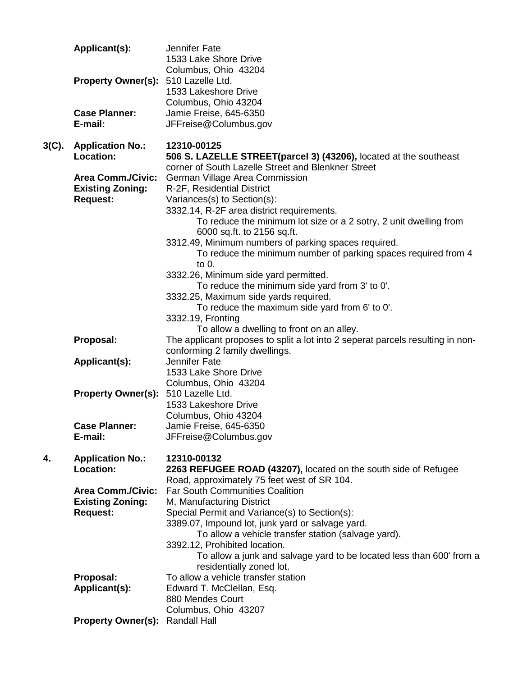|          | Applicant(s):                   | Jennifer Fate<br>1533 Lake Shore Drive                                                                         |
|----------|---------------------------------|----------------------------------------------------------------------------------------------------------------|
|          |                                 | Columbus, Ohio 43204                                                                                           |
|          | <b>Property Owner(s):</b>       | 510 Lazelle Ltd.                                                                                               |
|          |                                 | 1533 Lakeshore Drive                                                                                           |
|          |                                 | Columbus, Ohio 43204                                                                                           |
|          | <b>Case Planner:</b><br>E-mail: | Jamie Freise, 645-6350<br>JFFreise@Columbus.gov                                                                |
|          |                                 |                                                                                                                |
| $3(C)$ . | <b>Application No.:</b>         | 12310-00125                                                                                                    |
|          | Location:                       | 506 S. LAZELLE STREET(parcel 3) (43206), located at the southeast                                              |
|          | <b>Area Comm./Civic:</b>        | corner of South Lazelle Street and Blenkner Street<br>German Village Area Commission                           |
|          | <b>Existing Zoning:</b>         | R-2F, Residential District                                                                                     |
|          | <b>Request:</b>                 | Variances(s) to Section(s):                                                                                    |
|          |                                 | 3332.14, R-2F area district requirements.                                                                      |
|          |                                 | To reduce the minimum lot size or a 2 sotry, 2 unit dwelling from                                              |
|          |                                 | 6000 sq.ft. to 2156 sq.ft.<br>3312.49, Minimum numbers of parking spaces required.                             |
|          |                                 | To reduce the minimum number of parking spaces required from 4                                                 |
|          |                                 | to $0$ .                                                                                                       |
|          |                                 | 3332.26, Minimum side yard permitted.                                                                          |
|          |                                 | To reduce the minimum side yard from 3' to 0'.                                                                 |
|          |                                 | 3332.25, Maximum side yards required.<br>To reduce the maximum side yard from 6' to 0'.                        |
|          |                                 | 3332.19, Fronting                                                                                              |
|          |                                 | To allow a dwelling to front on an alley.                                                                      |
|          | Proposal:                       | The applicant proposes to split a lot into 2 seperat parcels resulting in non-                                 |
|          | Applicant(s):                   | conforming 2 family dwellings.<br>Jennifer Fate                                                                |
|          |                                 | 1533 Lake Shore Drive                                                                                          |
|          |                                 | Columbus, Ohio 43204                                                                                           |
|          | <b>Property Owner(s):</b>       | 510 Lazelle Ltd.                                                                                               |
|          |                                 | 1533 Lakeshore Drive                                                                                           |
|          | <b>Case Planner:</b>            | Columbus, Ohio 43204<br>Jamie Freise, 645-6350                                                                 |
|          | E-mail:                         | JFFreise@Columbus.gov                                                                                          |
|          |                                 |                                                                                                                |
| 4.       | <b>Application No.:</b>         | 12310-00132                                                                                                    |
|          | Location:                       | 2263 REFUGEE ROAD (43207), located on the south side of Refugee<br>Road, approximately 75 feet west of SR 104. |
|          | <b>Area Comm./Civic:</b>        | <b>Far South Communities Coalition</b>                                                                         |
|          | <b>Existing Zoning:</b>         | M, Manufacturing District                                                                                      |
|          | <b>Request:</b>                 | Special Permit and Variance(s) to Section(s):                                                                  |
|          |                                 | 3389.07, Impound lot, junk yard or salvage yard.                                                               |
|          |                                 | To allow a vehicle transfer station (salvage yard).<br>3392.12, Prohibited location.                           |
|          |                                 | To allow a junk and salvage yard to be located less than 600' from a                                           |
|          |                                 | residentially zoned lot.                                                                                       |
|          | Proposal:                       | To allow a vehicle transfer station                                                                            |
|          | Applicant(s):                   | Edward T. McClellan, Esq.                                                                                      |
|          |                                 | 880 Mendes Court<br>Columbus, Ohio 43207                                                                       |
|          | <b>Property Owner(s):</b>       | <b>Randall Hall</b>                                                                                            |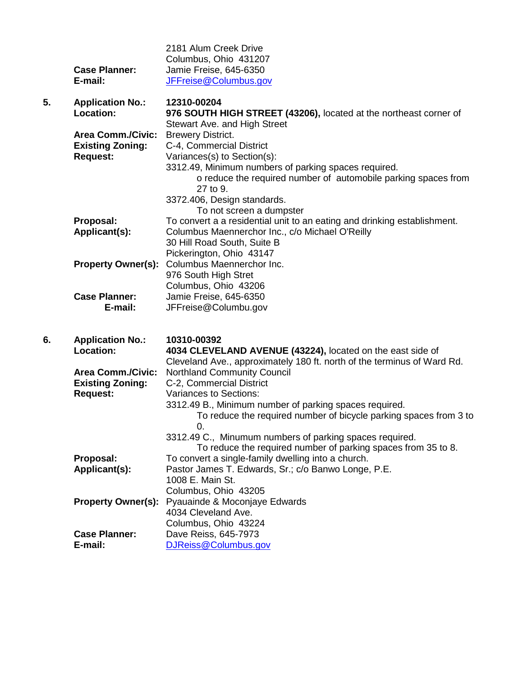|    | <b>Case Planner:</b><br>E-mail:                                        | 2181 Alum Creek Drive<br>Columbus, Ohio 431207<br>Jamie Freise, 645-6350<br>JFFreise@Columbus.gov                                                                                                                                                                                        |
|----|------------------------------------------------------------------------|------------------------------------------------------------------------------------------------------------------------------------------------------------------------------------------------------------------------------------------------------------------------------------------|
| 5. | <b>Application No.:</b><br>Location:                                   | 12310-00204<br>976 SOUTH HIGH STREET (43206), located at the northeast corner of                                                                                                                                                                                                         |
|    | <b>Area Comm./Civic:</b><br><b>Existing Zoning:</b><br><b>Request:</b> | Stewart Ave. and High Street<br><b>Brewery District.</b><br>C-4, Commercial District<br>Variances(s) to Section(s):<br>3312.49, Minimum numbers of parking spaces required.<br>o reduce the required number of automobile parking spaces from<br>27 to 9.<br>3372.406, Design standards. |
|    | Proposal:<br>Applicant(s):                                             | To not screen a dumpster<br>To convert a a residential unit to an eating and drinking establishment.<br>Columbus Maennerchor Inc., c/o Michael O'Reilly<br>30 Hill Road South, Suite B<br>Pickerington, Ohio 43147                                                                       |
|    | <b>Property Owner(s):</b>                                              | Columbus Maennerchor Inc.<br>976 South High Stret<br>Columbus, Ohio 43206                                                                                                                                                                                                                |
|    | <b>Case Planner:</b><br>E-mail:                                        | Jamie Freise, 645-6350<br>JFFreise@Columbu.gov                                                                                                                                                                                                                                           |
| 6. | <b>Application No.:</b><br>Location:                                   | 10310-00392<br>4034 CLEVELAND AVENUE (43224), located on the east side of<br>Cleveland Ave., approximately 180 ft. north of the terminus of Ward Rd.                                                                                                                                     |
|    | <b>Area Comm./Civic:</b><br><b>Existing Zoning:</b><br><b>Request:</b> | <b>Northland Community Council</b><br>C-2, Commercial District<br>Variances to Sections:<br>3312.49 B., Minimum number of parking spaces required.<br>To reduce the required number of bicycle parking spaces from 3 to                                                                  |
|    |                                                                        | O.<br>3312.49 C., Minumum numbers of parking spaces required.<br>To reduce the required number of parking spaces from 35 to 8.                                                                                                                                                           |
|    | Proposal:<br>Applicant(s):                                             | To convert a single-family dwelling into a church.<br>Pastor James T. Edwards, Sr.; c/o Banwo Longe, P.E.<br>1008 E. Main St.<br>Columbus, Ohio 43205                                                                                                                                    |
|    | <b>Property Owner(s):</b>                                              | Pyauainde & Moconjaye Edwards<br>4034 Cleveland Ave.<br>Columbus, Ohio 43224                                                                                                                                                                                                             |
|    | <b>Case Planner:</b><br>E-mail:                                        | Dave Reiss, 645-7973<br>DJReiss@Columbus.gov                                                                                                                                                                                                                                             |